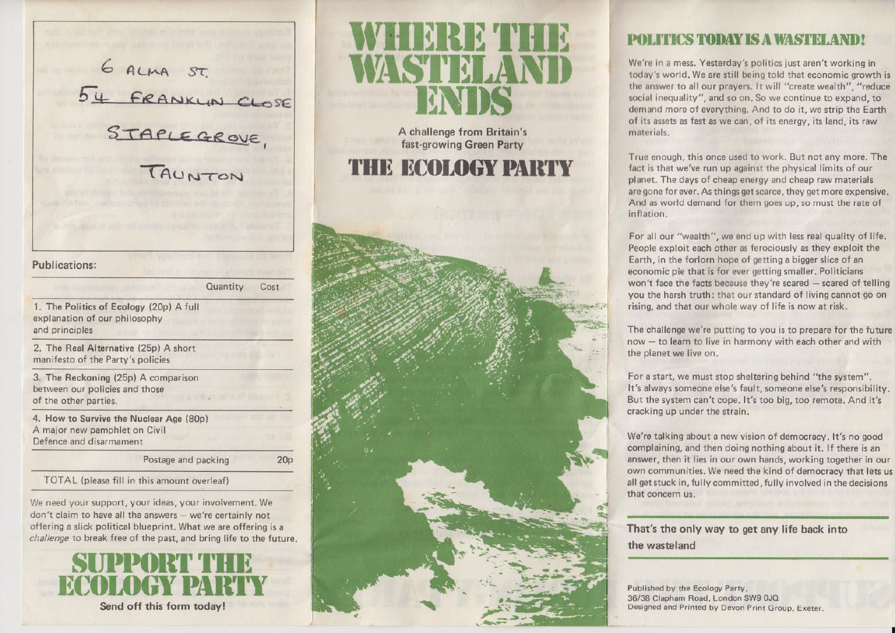6 ALMA ST.<br>54 FRANKLIN CLOSE<br>STAPLEGROVE,

#### **Publications:**

Cost Quantity

1. The Politics of Ecology (20p) A full explanation of our philosophy and principles

2. The Real Alternative (25p) A short manifesto of the Party's policies

3. The Reckoning (25p) A comparison between our policies and those of the other parties.

4. How to Survive the Nuclear Age (80p) A major new pamphlet on Civil Defence and disarmament

Postage and packing

 $20<sub>p</sub>$ 

TOTAL (please fill in this amount overleaf)

We need your support, your ideas, your involvement, We don't claim to have all the answers - we're certainly not offering a slick political blueprint. What we are offering is a challenge to break free of the past, and bring life to the future.



A challenge from Britain's fast-growing Green Party

**THE ECOLOGY PARTY** 



# **POLITICS TODAY IS A WASTELAND**

We're in a mess. Yesterday's politics just aren't working in today's world. We are still being told that economic growth is the answer to all our prayers. It will "create wealth", "reduce social inequality", and so on. So we continue to expand, to demand more of everything. And to do it, we strip the Earth of its assets as fast as we can, of its energy, its land, its raw materials.

True enough, this once used to work. But not any more. The fact is that we've run up against the physical limits of our planet. The days of cheap energy and cheap raw materials are gone for ever. As things get scarce, they get more expensive. And as world demand for them goes up, so must the rate of inflation.

For all our "wealth", we end up with less real quality of life. People exploit each other as ferociously as they exploit the Earth, in the forlorn hope of getting a bigger slice of an economic pie that is for ever getting smaller. Politicians won't face the facts because they're scared - scared of telling you the harsh truth: that our standard of living cannot go on rising, and that our whole way of life is now at risk.

The challenge we're putting to you is to prepare for the future now - to learn to live in harmony with each other and with the planet we live on.

For a start, we must stop sheltering behind "the system". It's always someone else's fault, someone else's responsibility. But the system can't cope, It's too big, too remote. And it's cracking up under the strain.

We're talking about a new vision of democracy, It's no good complaining, and then doing nothing about it. If there is an answer, then it lies in our own hands, working together in our own communities. We need the kind of democracy that lets us all get stuck in, fully committed, fully involved in the decisions that concern us.

That's the only way to get any life back into the wasteland

Published by the Ecology Party, 36/38 Clapham Road, London SW9 0JQ Designed and Printed by Devon Print Group, Exeter.